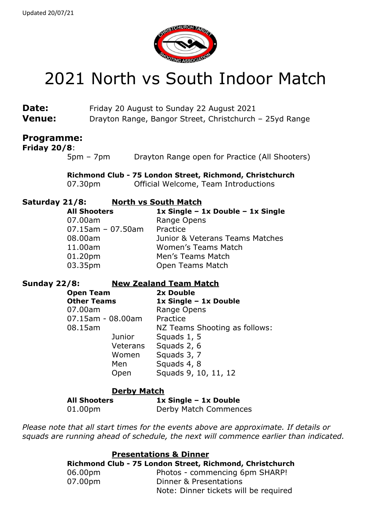

# 2021 North vs South Indoor Match

| Date:         | Friday 20 August to Sunday 22 August 2021               |
|---------------|---------------------------------------------------------|
| <b>Venue:</b> | Drayton Range, Bangor Street, Christchurch - 25yd Range |

### **Programme:**

**Friday 20/8**:

5pm – 7pm Drayton Range open for Practice (All Shooters)

**Richmond Club - 75 London Street, Richmond, Christchurch** 07.30pm Official Welcome, Team Introductions

#### **Saturday 21/8: North vs South Match**

| <b>All Shooters</b>  | 1x Single - 1x Double - 1x Single |
|----------------------|-----------------------------------|
| 07.00am              | Range Opens                       |
| $07.15$ am - 07.50am | Practice                          |
| 08.00am              | Junior & Veterans Teams Matches   |
| 11.00am              | <b>Women's Teams Match</b>        |
| 01.20pm              | Men's Teams Match                 |
| 03.35pm              | Open Teams Match                  |

#### **Sunday 22/8: New Zealand Team Match**

| 2x Double                     |
|-------------------------------|
| 1x Single - 1x Double         |
| Range Opens                   |
| Practice                      |
| NZ Teams Shooting as follows: |
| Squads 1, 5                   |
| Squads 2, 6                   |
| Squads 3, 7                   |
| Squads 4, 8                   |
| Squads 9, 10, 11, 12          |
|                               |

#### **Derby Match**

**All Shooters 1x Single – 1x Double**

01.00pm Derby Match Commences

*Please note that all start times for the events above are approximate. If details or squads are running ahead of schedule, the next will commence earlier than indicated.*

| <b>Presentations &amp; Dinner</b> |
|-----------------------------------|
|-----------------------------------|

|         | Richmond Club - 75 London Street, Richmond, Christchurch |
|---------|----------------------------------------------------------|
| 06.00pm | Photos - commencing 6pm SHARP!                           |
| 07.00pm | Dinner & Presentations                                   |
|         | Note: Dinner tickets will be required                    |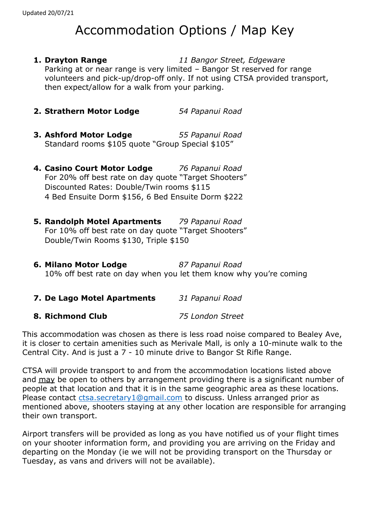## Accommodation Options / Map Key

- **1. Drayton Range** *11 Bangor Street, Edgeware* Parking at or near range is very limited – Bangor St reserved for range volunteers and pick-up/drop-off only. If not using CTSA provided transport, then expect/allow for a walk from your parking.
- **2. Strathern Motor Lodge** *54 Papanui Road*
- **3. Ashford Motor Lodge** *55 Papanui Road* Standard rooms \$105 quote "Group Special \$105"
- **4. Casino Court Motor Lodge** *76 Papanui Road* For 20% off best rate on day quote "Target Shooters" Discounted Rates: Double/Twin rooms \$115 4 Bed Ensuite Dorm \$156, 6 Bed Ensuite Dorm \$222
- **5. Randolph Motel Apartments** *79 Papanui Road* For 10% off best rate on day quote "Target Shooters" Double/Twin Rooms \$130, Triple \$150
- **6. Milano Motor Lodge** *87 Papanui Road* 10% off best rate on day when you let them know why you're coming
- **7. De Lago Motel Apartments** *31 Papanui Road*

#### **8. Richmond Club** *75 London Street*

This accommodation was chosen as there is less road noise compared to Bealey Ave, it is closer to certain amenities such as Merivale Mall, is only a 10-minute walk to the Central City. And is just a 7 - 10 minute drive to Bangor St Rifle Range.

CTSA will provide transport to and from the accommodation locations listed above and may be open to others by arrangement providing there is a significant number of people at that location and that it is in the same geographic area as these locations. Please contact [ctsa.secretary1@gmail.com](mailto:ctsa.secretary1@gmail.com) to discuss. Unless arranged prior as mentioned above, shooters staying at any other location are responsible for arranging their own transport.

Airport transfers will be provided as long as you have notified us of your flight times on your shooter information form, and providing you are arriving on the Friday and departing on the Monday (ie we will not be providing transport on the Thursday or Tuesday, as vans and drivers will not be available).